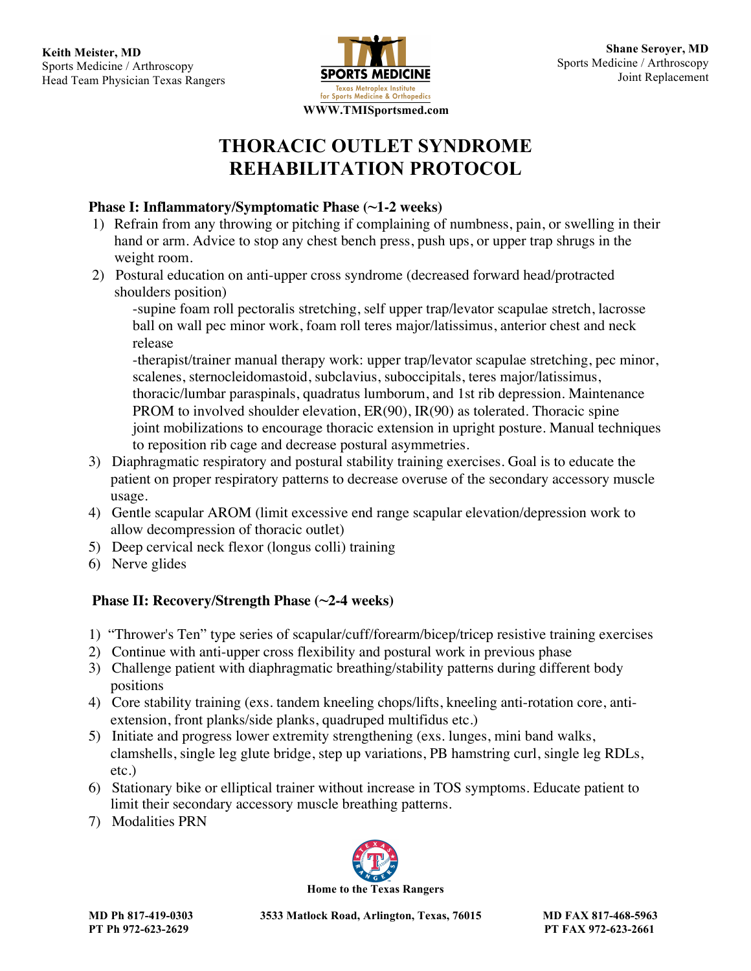

# **THORACIC OUTLET SYNDROME REHABILITATION PROTOCOL**

### **Phase I: Inflammatory/Symptomatic Phase (~1-2 weeks)**

- 1) Refrain from any throwing or pitching if complaining of numbness, pain, or swelling in their hand or arm. Advice to stop any chest bench press, push ups, or upper trap shrugs in the weight room.
- 2) Postural education on anti-upper cross syndrome (decreased forward head/protracted shoulders position)

-supine foam roll pectoralis stretching, self upper trap/levator scapulae stretch, lacrosse ball on wall pec minor work, foam roll teres major/latissimus, anterior chest and neck release

-therapist/trainer manual therapy work: upper trap/levator scapulae stretching, pec minor, scalenes, sternocleidomastoid, subclavius, suboccipitals, teres major/latissimus, thoracic/lumbar paraspinals, quadratus lumborum, and 1st rib depression. Maintenance PROM to involved shoulder elevation, ER(90), IR(90) as tolerated. Thoracic spine joint mobilizations to encourage thoracic extension in upright posture. Manual techniques to reposition rib cage and decrease postural asymmetries.

- 3) Diaphragmatic respiratory and postural stability training exercises. Goal is to educate the patient on proper respiratory patterns to decrease overuse of the secondary accessory muscle usage.
- 4) Gentle scapular AROM (limit excessive end range scapular elevation/depression work to allow decompression of thoracic outlet)
- 5) Deep cervical neck flexor (longus colli) training
- 6) Nerve glides

## **Phase II: Recovery/Strength Phase (~2-4 weeks)**

- 1) "Thrower's Ten" type series of scapular/cuff/forearm/bicep/tricep resistive training exercises
- 2) Continue with anti-upper cross flexibility and postural work in previous phase
- 3) Challenge patient with diaphragmatic breathing/stability patterns during different body positions
- 4) Core stability training (exs. tandem kneeling chops/lifts, kneeling anti-rotation core, anti extension, front planks/side planks, quadruped multifidus etc.)
- 5) Initiate and progress lower extremity strengthening (exs. lunges, mini band walks, clamshells, single leg glute bridge, step up variations, PB hamstring curl, single leg RDLs, etc.)
- 6) Stationary bike or elliptical trainer without increase in TOS symptoms. Educate patient to limit their secondary accessory muscle breathing patterns.
- 7) Modalities PRN



**MD Ph 817-419-0303 3533 Matlock Road, Arlington, Texas, 76015 MD FAX 817-468-5963**